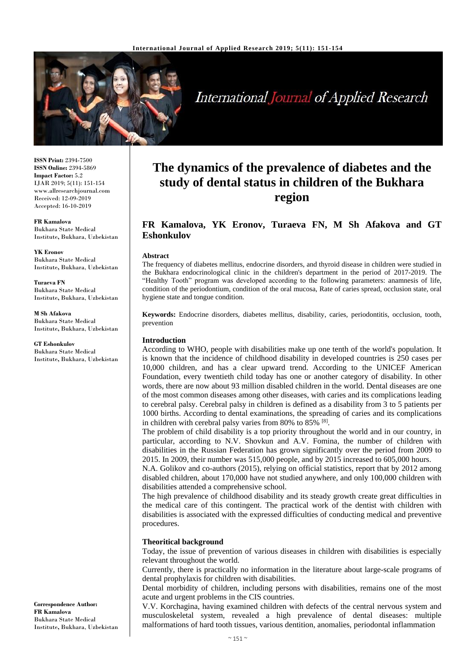

**International Journal of Applied Research** 

**ISSN Print:** 2394-7500 **ISSN Online:** 2394-5869 **Impact Factor:** 5.2 IJAR 2019; 5(11): 151-154 www.allresearchjournal.com Received: 12-09-2019 Accepted: 16-10-2019

**FR Kamalova** Bukhara State Medical Institute**,** Bukhara, Uzbekistan

**YK Eronov** Bukhara State Medical Institute**,** Bukhara, Uzbekistan

**Turaeva FN** Bukhara State Medical Institute**,** Bukhara, Uzbekistan

**M Sh Afakova** Bukhara State Medical Institute**,** Bukhara, Uzbekistan

**GT Eshonkulov** Bukhara State Medical Institute**,** Bukhara, Uzbekistan

**Correspondence Author: FR Kamalova** Bukhara State Medical Institute**,** Bukhara, Uzbekistan

# **The dynamics of the prevalence of diabetes and the study of dental status in children of the Bukhara region**

## **FR Kamalova, YK Eronov, Turaeva FN, M Sh Afakova and GT Eshonkulov**

#### **Abstract**

The frequency of diabetes mellitus, endocrine disorders, and thyroid disease in children were studied in the Bukhara endocrinological clinic in the children's department in the period of 2017-2019. The "Healthy Tooth" program was developed according to the following parameters: anamnesis of life, condition of the periodontium, condition of the oral mucosa, Rate of caries spread, occlusion state, oral hygiene state and tongue condition.

**Keywords:** Endocrine disorders, diabetes mellitus, disability, caries, periodontitis, occlusion, tooth, prevention

### **Introduction**

According to WHO, people with disabilities make up one tenth of the world's population. It is known that the incidence of childhood disability in developed countries is 250 cases per 10,000 children, and has a clear upward trend. According to the UNICEF American Foundation, every twentieth child today has one or another category of disability. In other words, there are now about 93 million disabled children in the world. Dental diseases are one of the most common diseases among other diseases, with caries and its complications leading to cerebral palsy. Cerebral palsy in children is defined as a disability from 3 to 5 patients per 1000 births. According to dental examinations, the spreading of caries and its complications in children with cerebral palsy varies from 80% to 85% [8].

The problem of child disability is a top priority throughout the world and in our country, in particular, according to N.V. Shovkun and A.V. Fomina, the number of children with disabilities in the Russian Federation has grown significantly over the period from 2009 to 2015. In 2009, their number was 515,000 people, and by 2015 increased to 605,000 hours.

N.A. Golikov and co-authors (2015), relying on official statistics, report that by 2012 among disabled children, about 170,000 have not studied anywhere, and only 100,000 children with disabilities attended a comprehensive school.

The high prevalence of childhood disability and its steady growth create great difficulties in the medical care of this contingent. The practical work of the dentist with children with disabilities is associated with the expressed difficulties of conducting medical and preventive procedures.

#### **Theoritical background**

Today, the issue of prevention of various diseases in children with disabilities is especially relevant throughout the world.

Currently, there is practically no information in the literature about large-scale programs of dental prophylaxis for children with disabilities.

Dental morbidity of children, including persons with disabilities, remains one of the most acute and urgent problems in the CIS countries.

V.V. Korchagina, having examined children with defects of the central nervous system and musculoskeletal system, revealed a high prevalence of dental diseases: multiple malformations of hard tooth tissues, various dentition, anomalies, periodontal inflammation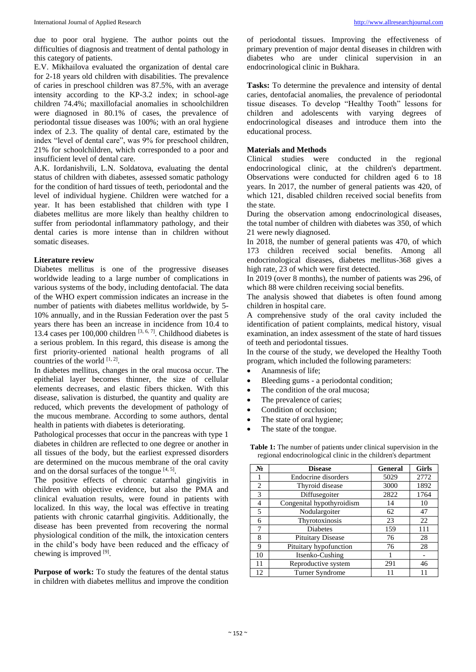due to poor oral hygiene. The author points out the difficulties of diagnosis and treatment of dental pathology in this category of patients.

E.V. Mikhailova evaluated the organization of dental care for 2-18 years old children with disabilities. The prevalence of caries in preschool children was 87.5%, with an average intensity according to the KP-3.2 index; in school-age children 74.4%; maxillofacial anomalies in schoolchildren were diagnosed in 80.1% of cases, the prevalence of periodontal tissue diseases was 100%; with an oral hygiene index of 2.3. The quality of dental care, estimated by the index "level of dental care", was 9% for preschool children, 21% for schoolchildren, which corresponded to a poor and insufficient level of dental care.

A.K. Iordanishvili, L.N. Soldatova, evaluating the dental status of children with diabetes, assessed somatic pathology for the condition of hard tissues of teeth, periodontal and the level of individual hygiene. Children were watched for a year. It has been established that children with type I diabetes mellitus are more likely than healthy children to suffer from periodontal inflammatory pathology, and their dental caries is more intense than in children without somatic diseases.

#### **Literature review**

Diabetes mellitus is one of the progressive diseases worldwide leading to a large number of complications in various systems of the body, including dentofacial. The data of the WHO expert commission indicates an increase in the number of patients with diabetes mellitus worldwide, by 5- 10% annually, and in the Russian Federation over the past 5 years there has been an increase in incidence from 10.4 to 13.4 cases per 100,000 children  $[3, 6, 7]$ . Childhood diabetes is a serious problem. In this regard, this disease is among the first priority-oriented national health programs of all countries of the world  $[1, 2]$ .

In diabetes mellitus, changes in the oral mucosa occur. The epithelial layer becomes thinner, the size of cellular elements decreases, and elastic fibers thicken. With this disease, salivation is disturbed, the quantity and quality are reduced, which prevents the development of pathology of the mucous membrane. According to some authors, dental health in patients with diabetes is deteriorating.

Pathological processes that occur in the pancreas with type 1 diabetes in children are reflected to one degree or another in all tissues of the body, but the earliest expressed disorders are determined on the mucous membrane of the oral cavity and on the dorsal surfaces of the tongue  $[4, 5]$ .

The positive effects of chronic catarrhal gingivitis in children with objective evidence, but also the PMA and clinical evaluation results, were found in patients with localized. In this way, the local was effective in treating patients with chronic catarrhal gingivitis. Additionally, the disease has been prevented from recovering the normal physiological condition of the milk, the intoxication centers in the child's body have been reduced and the efficacy of chewing is improved  $^{[9]}$ .

**Purpose of work:** To study the features of the dental status in children with diabetes mellitus and improve the condition of periodontal tissues. Improving the effectiveness of primary prevention of major dental diseases in children with diabetes who are under clinical supervision in an endocrinological clinic in Bukhara.

**Tasks:** To determine the prevalence and intensity of dental caries, dentofacial anomalies, the prevalence of periodontal tissue diseases. To develop "Healthy Tooth" lessons for children and adolescents with varying degrees of endocrinological diseases and introduce them into the educational process.

#### **Materials and Methods**

Clinical studies were conducted in the regional endocrinological clinic, at the children's department. Observations were conducted for children aged 6 to 18 years. In 2017, the number of general patients was 420, of which 121, disabled children received social benefits from the state.

During the observation among endocrinological diseases, the total number of children with diabetes was 350, of which 21 were newly diagnosed.

In 2018, the number of general patients was 470, of which 173 children received social benefits. Among all endocrinological diseases, diabetes mellitus-368 gives a high rate, 23 of which were first detected.

In 2019 (over 8 months), the number of patients was 296, of which 88 were children receiving social benefits.

The analysis showed that diabetes is often found among children in hospital care.

A comprehensive study of the oral cavity included the identification of patient complaints, medical history, visual examination, an index assessment of the state of hard tissues of teeth and periodontal tissues.

In the course of the study, we developed the Healthy Tooth program, which included the following parameters:

- Anamnesis of life;
- Bleeding gums a periodontal condition;
- The condition of the oral mucosa;
- The prevalence of caries;
- Condition of occlusion;
- The state of oral hygiene;
- The state of the tongue.

**Table 1:** The number of patients under clinical supervision in the regional endocrinological clinic in the children's department

| No.            | <b>Disease</b>            | <b>General</b> | <b>Girls</b> |
|----------------|---------------------------|----------------|--------------|
|                | Endocrine disorders       | 5029           | 2772         |
| $\overline{c}$ | Thyroid disease           | 3000           | 1892         |
| 3              | Diffusegoiter             | 2822           | 1764         |
| 4              | Congenital hypothyroidism | 14             | 10           |
| 5              | Nodulargoiter             | 62             | 47           |
| 6              | Thyrotoxinosis            | 23             | 22           |
| 7              | <b>Diabetes</b>           | 159            | 111          |
| 8              | <b>Pituitary Disease</b>  | 76             | 28           |
| 9              | Pituitary hypofunction    | 76             | 28           |
| 10             | Itsenko-Cushing           |                |              |
| 11             | Reproductive system       | 291            | 46           |
| 12             | Turner Syndrome           | 11             |              |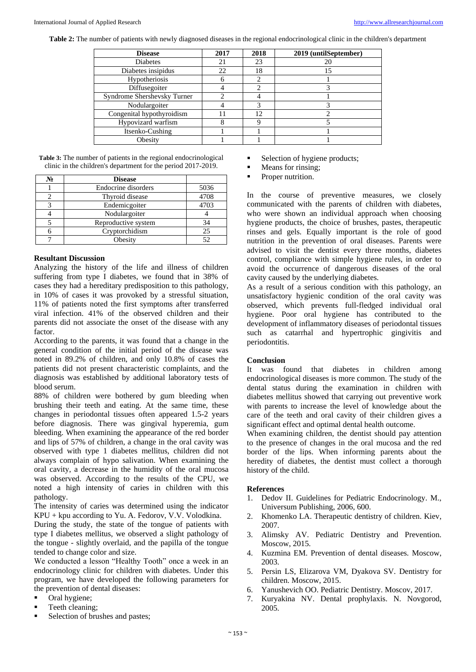**Table 2:** The number of patients with newly diagnosed diseases in the regional endocrinological clinic in the children's department

| <b>Disease</b>              | 2017 | 2018 | 2019 (untilSeptember) |
|-----------------------------|------|------|-----------------------|
| <b>Diabetes</b>             | 21   | 23   | 20                    |
| Diabetes insipidus          | 22   | 18   | 15                    |
| Hypotheriosis               |      |      |                       |
| Diffusegoiter               |      | ◠    |                       |
| Syndrome Shershevsky Turner |      |      |                       |
| Nodulargoiter               |      |      |                       |
| Congenital hypothyroidism   |      | 12   |                       |
| Hypovizard warfism          |      | O    |                       |
| Itsenko-Cushing             |      |      |                       |
| Obesity                     |      |      |                       |

**Table 3:** The number of patients in the regional endocrinological clinic in the children's department for the period 2017-2019.

| No | <b>Disease</b>      |      |
|----|---------------------|------|
|    | Endocrine disorders | 5036 |
|    | Thyroid disease     | 4708 |
|    | Endemicgoiter       | 4703 |
|    | Nodulargoiter       |      |
|    | Reproductive system | 34   |
|    | Cryptorchidism      | 25   |
|    | Obesity             | 52   |

#### **Resultant Discussion**

Analyzing the history of the life and illness of children suffering from type I diabetes, we found that in 38% of cases they had a hereditary predisposition to this pathology, in 10% of cases it was provoked by a stressful situation, 11% of patients noted the first symptoms after transferred viral infection. 41% of the observed children and their parents did not associate the onset of the disease with any factor.

According to the parents, it was found that a change in the general condition of the initial period of the disease was noted in 89.2% of children, and only 10.8% of cases the patients did not present characteristic complaints, and the diagnosis was established by additional laboratory tests of blood serum.

88% of children were bothered by gum bleeding when brushing their teeth and eating. At the same time, these changes in periodontal tissues often appeared 1.5-2 years before diagnosis. There was gingival hyperemia, gum bleeding. When examining the appearance of the red border and lips of 57% of children, a change in the oral cavity was observed with type 1 diabetes mellitus, children did not always complain of hypo salivation. When examining the oral cavity, a decrease in the humidity of the oral mucosa was observed. According to the results of the CPU, we noted a high intensity of caries in children with this pathology.

The intensity of caries was determined using the indicator KPU + kpu according to Yu. A. Fedorov, V.V. Volodkina.

During the study, the state of the tongue of patients with type I diabetes mellitus, we observed a slight pathology of the tongue - slightly overlaid, and the papilla of the tongue tended to change color and size.

We conducted a lesson "Healthy Tooth" once a week in an endocrinology clinic for children with diabetes. Under this program, we have developed the following parameters for the prevention of dental diseases:

- Oral hygiene;
- Teeth cleaning;
- Selection of brushes and pastes;
- Selection of hygiene products;
- Means for rinsing;
- **Proper nutrition.**

In the course of preventive measures, we closely communicated with the parents of children with diabetes, who were shown an individual approach when choosing hygiene products, the choice of brushes, pastes, therapeutic rinses and gels. Equally important is the role of good nutrition in the prevention of oral diseases. Parents were advised to visit the dentist every three months, diabetes control, compliance with simple hygiene rules, in order to avoid the occurrence of dangerous diseases of the oral cavity caused by the underlying diabetes.

As a result of a serious condition with this pathology, an unsatisfactory hygienic condition of the oral cavity was observed, which prevents full-fledged individual oral hygiene. Poor oral hygiene has contributed to the development of inflammatory diseases of periodontal tissues such as catarrhal and hypertrophic gingivitis and periodontitis.

#### **Conclusion**

It was found that diabetes in children among endocrinological diseases is more common. The study of the dental status during the examination in children with diabetes mellitus showed that carrying out preventive work with parents to increase the level of knowledge about the care of the teeth and oral cavity of their children gives a significant effect and optimal dental health outcome.

When examining children, the dentist should pay attention to the presence of changes in the oral mucosa and the red border of the lips. When informing parents about the heredity of diabetes, the dentist must collect a thorough history of the child.

#### **References**

- 1. Dedov II. Guidelines for Pediatric Endocrinology. M., Universum Publishing, 2006, 600.
- 2. Khomenko LA. Therapeutic dentistry of children. Kiev, 2007.
- 3. Alimsky AV. Pediatric Dentistry and Prevention. Moscow, 2015.
- 4. Kuzmina EM. Prevention of dental diseases. Moscow, 2003.
- 5. Persin LS, Elizarova VM, Dyakova SV. Dentistry for children. Moscow, 2015.
- 6. Yanushevich OO. Pediatric Dentistry. Moscov, 2017.
- 7. Kuryakina NV. Dental prophylaxis. N. Novgorod, 2005.